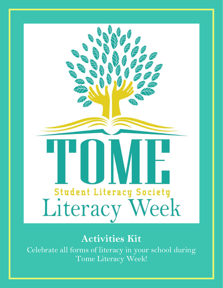

# **Activities Kit**

Celebrate all forms of literacy in your school during Tome Literacy Week!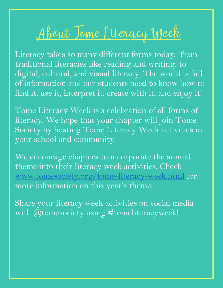# <u>About Tome Citeracy Week</u>

Literacy takes so many different forms today; from traditional literacies like reading and writing, to digital, cultural, and visual literacy. The world is full of information and our students need to know how to find it, use it, interpret it, create with it, and enjoy it!

Tome Literacy Week is a celebration of all forms of literacy. We hope that your chapter will join Tome Society by hosting Tome Literacy Week activities in your school and community.

We encourage chapters to incorporate the annual theme into their literacy week activities. Check [www.tomesociety.org/tome-literacy-week.html](http://www.tomesociety.org/tome-literacy-week.html) [f](http://www.tomesociety.org/tome-literacy-week.html)or more information on this year's theme.

Share your literacy week activities on social media with @tomesociety using #tomeliteracyweek!